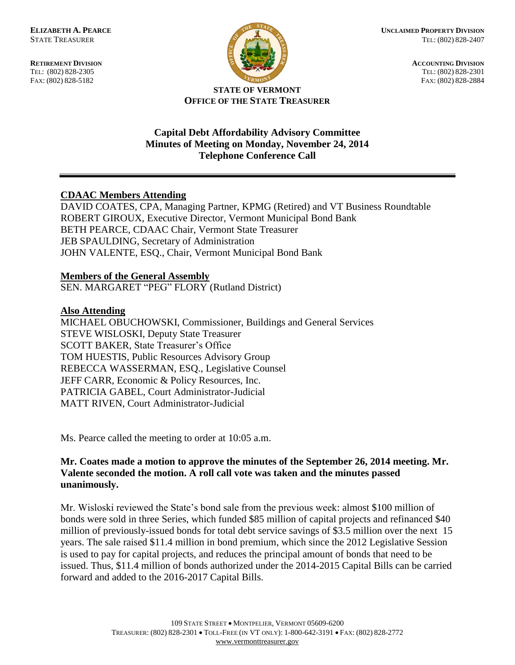FAX: (802) 828-5182



**RETIREMENT DIVISION**<br> **RETIREMENT DIVISION**<br> **ACCOUNTING DIVISION**<br> **RETIREMENT DIVISION**<br> **RETIREMENT DIVISION** TEL: (802) 828-2301<br>FAX: (802) 828-2884

#### **STATE OF VERMONT OFFICE OF THE STATE TREASURER**

## **Capital Debt Affordability Advisory Committee Minutes of Meeting on Monday, November 24, 2014 Telephone Conference Call**

# **CDAAC Members Attending**

DAVID COATES, CPA, Managing Partner, KPMG (Retired) and VT Business Roundtable ROBERT GIROUX, Executive Director, Vermont Municipal Bond Bank BETH PEARCE, CDAAC Chair, Vermont State Treasurer JEB SPAULDING, Secretary of Administration JOHN VALENTE, ESQ., Chair, Vermont Municipal Bond Bank

## **Members of the General Assembly**

SEN. MARGARET "PEG" FLORY (Rutland District)

## **Also Attending**

MICHAEL OBUCHOWSKI, Commissioner, Buildings and General Services STEVE WISLOSKI, Deputy State Treasurer SCOTT BAKER, State Treasurer's Office TOM HUESTIS, Public Resources Advisory Group REBECCA WASSERMAN, ESQ., Legislative Counsel JEFF CARR, Economic & Policy Resources, Inc. PATRICIA GABEL, Court Administrator-Judicial MATT RIVEN, Court Administrator-Judicial

Ms. Pearce called the meeting to order at 10:05 a.m.

## **Mr. Coates made a motion to approve the minutes of the September 26, 2014 meeting. Mr. Valente seconded the motion. A roll call vote was taken and the minutes passed unanimously.**

Mr. Wisloski reviewed the State's bond sale from the previous week: almost \$100 million of bonds were sold in three Series, which funded \$85 million of capital projects and refinanced \$40 million of previously-issued bonds for total debt service savings of \$3.5 million over the next 15 years. The sale raised \$11.4 million in bond premium, which since the 2012 Legislative Session is used to pay for capital projects, and reduces the principal amount of bonds that need to be issued. Thus, \$11.4 million of bonds authorized under the 2014-2015 Capital Bills can be carried forward and added to the 2016-2017 Capital Bills.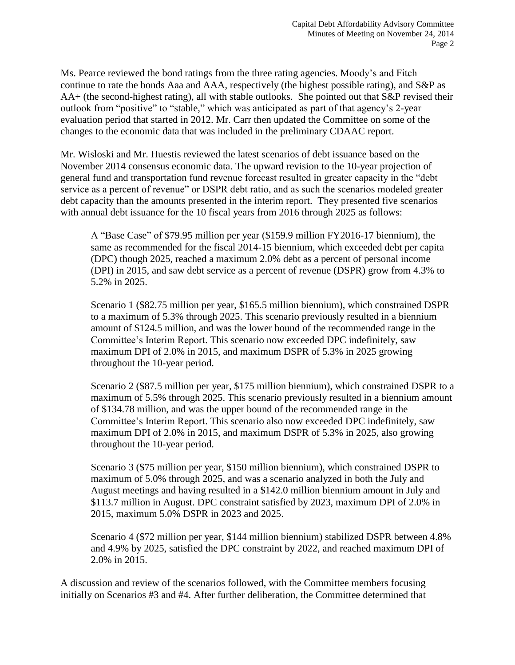Ms. Pearce reviewed the bond ratings from the three rating agencies. Moody's and Fitch continue to rate the bonds Aaa and AAA, respectively (the highest possible rating), and S&P as AA+ (the second-highest rating), all with stable outlooks. She pointed out that S&P revised their outlook from "positive" to "stable," which was anticipated as part of that agency's 2-year evaluation period that started in 2012. Mr. Carr then updated the Committee on some of the changes to the economic data that was included in the preliminary CDAAC report.

Mr. Wisloski and Mr. Huestis reviewed the latest scenarios of debt issuance based on the November 2014 consensus economic data. The upward revision to the 10-year projection of general fund and transportation fund revenue forecast resulted in greater capacity in the "debt service as a percent of revenue" or DSPR debt ratio, and as such the scenarios modeled greater debt capacity than the amounts presented in the interim report. They presented five scenarios with annual debt issuance for the 10 fiscal years from 2016 through 2025 as follows:

A "Base Case" of \$79.95 million per year (\$159.9 million FY2016-17 biennium), the same as recommended for the fiscal 2014-15 biennium, which exceeded debt per capita (DPC) though 2025, reached a maximum 2.0% debt as a percent of personal income (DPI) in 2015, and saw debt service as a percent of revenue (DSPR) grow from 4.3% to 5.2% in 2025.

Scenario 1 (\$82.75 million per year, \$165.5 million biennium), which constrained DSPR to a maximum of 5.3% through 2025. This scenario previously resulted in a biennium amount of \$124.5 million, and was the lower bound of the recommended range in the Committee's Interim Report. This scenario now exceeded DPC indefinitely, saw maximum DPI of 2.0% in 2015, and maximum DSPR of 5.3% in 2025 growing throughout the 10-year period.

Scenario 2 (\$87.5 million per year, \$175 million biennium), which constrained DSPR to a maximum of 5.5% through 2025. This scenario previously resulted in a biennium amount of \$134.78 million, and was the upper bound of the recommended range in the Committee's Interim Report. This scenario also now exceeded DPC indefinitely, saw maximum DPI of 2.0% in 2015, and maximum DSPR of 5.3% in 2025, also growing throughout the 10-year period.

Scenario 3 (\$75 million per year, \$150 million biennium), which constrained DSPR to maximum of 5.0% through 2025, and was a scenario analyzed in both the July and August meetings and having resulted in a \$142.0 million biennium amount in July and \$113.7 million in August. DPC constraint satisfied by 2023, maximum DPI of 2.0% in 2015, maximum 5.0% DSPR in 2023 and 2025.

Scenario 4 (\$72 million per year, \$144 million biennium) stabilized DSPR between 4.8% and 4.9% by 2025, satisfied the DPC constraint by 2022, and reached maximum DPI of 2.0% in 2015.

A discussion and review of the scenarios followed, with the Committee members focusing initially on Scenarios #3 and #4. After further deliberation, the Committee determined that